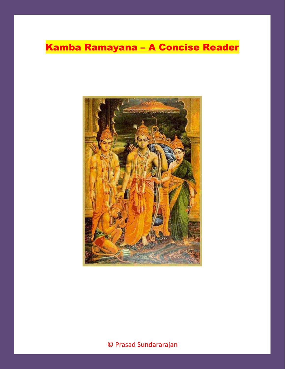# Kamba Ramayana – A Concise Reader

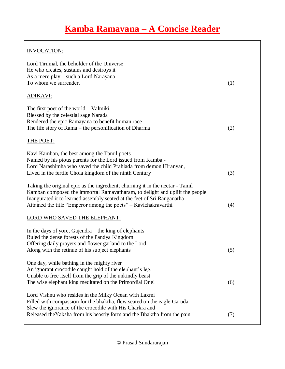### INVOCATION:

| Lord Tirumal, the beholder of the Universe<br>He who creates, sustains and destroys it<br>As a mere play – such a Lord Narayana<br>To whom we surrender.                                                                                                                                                   | (1) |
|------------------------------------------------------------------------------------------------------------------------------------------------------------------------------------------------------------------------------------------------------------------------------------------------------------|-----|
| <b>ADIKAVI:</b>                                                                                                                                                                                                                                                                                            |     |
| The first poet of the world $-$ Valmiki,<br>Blessed by the celestial sage Narada<br>Rendered the epic Ramayana to benefit human race<br>The life story of Rama – the personification of Dharma                                                                                                             | (2) |
| <b>THE POET:</b>                                                                                                                                                                                                                                                                                           |     |
| Kavi Kamban, the best among the Tamil poets<br>Named by his pious parents for the Lord issued from Kamba -<br>Lord Narashimha who saved the child Prahlada from demon Hiranyan,<br>Lived in the fertile Chola kingdom of the ninth Century                                                                 | (3) |
| Taking the original epic as the ingredient, churning it in the nectar - Tamil<br>Kamban composed the immortal Ramavatharam, to delight and uplift the people<br>Inaugurated it to learned assembly seated at the feet of Sri Ranganatha<br>Attained the title "Emperor among the poets" – Kavichakravarthi | (4) |
| <b>LORD WHO SAVED THE ELEPHANT:</b>                                                                                                                                                                                                                                                                        |     |
| In the days of yore, Gajendra $-$ the king of elephants<br>Ruled the dense forests of the Pandya Kingdom<br>Offering daily prayers and flower garland to the Lord<br>Along with the retinue of his subject elephants                                                                                       | (5) |
| One day, while bathing in the mighty river<br>An ignorant crocodile caught hold of the elephant's leg.<br>Unable to free itself from the grip of the unkindly beast<br>The wise elephant king meditated on the Primordial One!                                                                             | (6) |
| Lord Vishnu who resides in the Milky Ocean with Laxmi<br>Filled with compassion for the bhaktha, flew seated on the eagle Garuda<br>Slew the ignorance of the crocodile with His Charkra and                                                                                                               |     |
| Released the Yaksha from his beastly form and the Bhaktha from the pain                                                                                                                                                                                                                                    | (7) |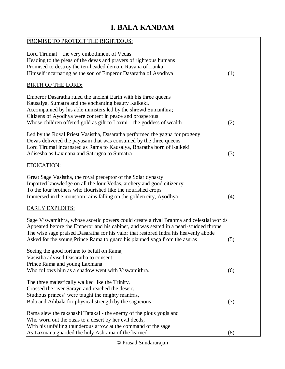# **I. BALA KANDAM**

| PROMISE TO PROTECT THE RIGHTEOUS:                                                                                                                                                                                                                                                                                                                     |     |
|-------------------------------------------------------------------------------------------------------------------------------------------------------------------------------------------------------------------------------------------------------------------------------------------------------------------------------------------------------|-----|
| Lord Tirumal – the very embodiment of Vedas<br>Heading to the pleas of the devas and prayers of righteous humans<br>Promised to destroy the ten-headed demon, Ravana of Lanka<br>Himself incarnating as the son of Emperor Dasaratha of Ayodhya                                                                                                       | (1) |
| <b>BIRTH OF THE LORD:</b>                                                                                                                                                                                                                                                                                                                             |     |
| Emperor Dasaratha ruled the ancient Earth with his three queens<br>Kausalya, Sumatra and the enchanting beauty Kaikeki,<br>Accompanied by his able ministers led by the shrewd Sumanthra;<br>Citizens of Ayodhya were content in peace and prosperous<br>Whose children offered gold as gift to Laxmi - the goddess of wealth                         | (2) |
| Led by the Royal Priest Vasistha, Dasaratha performed the yagna for progeny<br>Devas delivered the payasam that was consumed by the three queens<br>Lord Tirumal incarnated as Rama to Kausalya, Bharatha born of Kaikeki<br>Adisesha as Laxmana and Satrugna to Sumatra                                                                              | (3) |
| <b>EDUCATION:</b>                                                                                                                                                                                                                                                                                                                                     |     |
| Great Sage Vasistha, the royal preceptor of the Solar dynasty<br>Imparted knowledge on all the four Vedas, archery and good citizenry<br>To the four brothers who flourished like the nourished crops<br>Immersed in the monsoon rains falling on the golden city, Ayodhya                                                                            | (4) |
| <b>EARLY EXPLOITS:</b>                                                                                                                                                                                                                                                                                                                                |     |
| Sage Viswamithra, whose ascetic powers could create a rival Brahma and celestial worlds<br>Appeared before the Emperor and his cabinet, and was seated in a pearl-studded throne<br>The wise sage praised Dasaratha for his valor that restored Indra his heavenly abode<br>Asked for the young Prince Rama to guard his planned yaga from the asuras | (5) |
| Seeing the good fortune to befall on Rama,<br>Vasistha advised Dasaratha to consent.<br>Prince Rama and young Laxmana<br>Who follows him as a shadow went with Viswamithra.                                                                                                                                                                           | (6) |
| The three majestically walked like the Trinity,<br>Crossed the river Sarayu and reached the desert.<br>Studious princes' were taught the mighty mantras,<br>Bala and Adibala for physical strength by the sagacious                                                                                                                                   | (7) |
| Rama slew the rakshashi Tatakai - the enemy of the pious yogis and<br>Who worn out the oasis to a desert by her evil deeds,<br>With his unfailing thunderous arrow at the command of the sage<br>As Laxmana guarded the holy Ashrama of the learned                                                                                                   | (8) |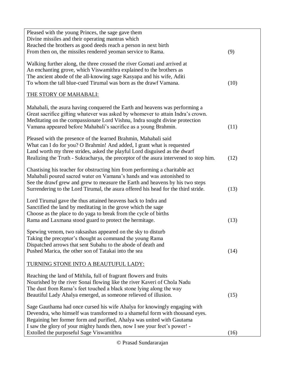| Pleased with the young Princes, the sage gave them<br>Divine missiles and their operating mantras which                                                                                                                                                                                                          |      |
|------------------------------------------------------------------------------------------------------------------------------------------------------------------------------------------------------------------------------------------------------------------------------------------------------------------|------|
| Reached the brothers as good deeds reach a person in next birth                                                                                                                                                                                                                                                  |      |
| From then on, the missiles rendered yeoman service to Rama.                                                                                                                                                                                                                                                      | (9)  |
| Walking further along, the three crossed the river Gomati and arrived at                                                                                                                                                                                                                                         |      |
| An enchanting grove, which Viswamithra explained to the brothers as                                                                                                                                                                                                                                              |      |
| The ancient abode of the all-knowing sage Kasyapa and his wife, Aditi                                                                                                                                                                                                                                            |      |
| To whom the tall blue-cued Tirumal was born as the drawf Vamana.                                                                                                                                                                                                                                                 | (10) |
| THE STORY OF MAHABALI:                                                                                                                                                                                                                                                                                           |      |
| Mahabali, the asura having conquered the Earth and heavens was performing a<br>Great sacrifice gifting whatever was asked by whomever to attain Indra's crown.<br>Meditating on the compassionate Lord Vishnu, Indra sought divine protection<br>Vamana appeared before Mahabali's sacrifice as a young Brahmin. | (11) |
|                                                                                                                                                                                                                                                                                                                  |      |
| Pleased with the presence of the learned Brahmin, Mahabali said<br>What can I do for you? O Brahmin! And added, I grant what is requested                                                                                                                                                                        |      |
| Land worth my three strides, asked the playful Lord disguised as the dwarf                                                                                                                                                                                                                                       |      |
| Realizing the Truth - Sukracharya, the preceptor of the asura intervened to stop him.                                                                                                                                                                                                                            | (12) |
| Chastising his teacher for obstructing him from performing a charitable act                                                                                                                                                                                                                                      |      |
| Mahabali poured sacred water on Vamana's hands and was astonished to                                                                                                                                                                                                                                             |      |
| See the drawf grew and grew to measure the Earth and heavens by his two steps                                                                                                                                                                                                                                    |      |
| Surrendering to the Lord Tirumal, the asura offered his head for the third stride.                                                                                                                                                                                                                               | (13) |
| Lord Tirumal gave the thus attained heavens back to Indra and                                                                                                                                                                                                                                                    |      |
| Sanctified the land by meditating in the grove which the sage                                                                                                                                                                                                                                                    |      |
| Choose as the place to do yaga to break from the cycle of births                                                                                                                                                                                                                                                 |      |
| Rama and Laxmana stood guard to protect the hermitage.                                                                                                                                                                                                                                                           | (13) |
| Spewing venom, two raksashas appeared on the sky to disturb                                                                                                                                                                                                                                                      |      |
| Taking the preceptor's thought as command the young Rama                                                                                                                                                                                                                                                         |      |
| Dispatched arrows that sent Subahu to the abode of death and                                                                                                                                                                                                                                                     |      |
| Pushed Marica, the other son of Tatakai into the sea                                                                                                                                                                                                                                                             | (14) |
| TURNING STONE INTO A BEAUTUFUL LADY:                                                                                                                                                                                                                                                                             |      |
| Reaching the land of Mithila, full of fragrant flowers and fruits                                                                                                                                                                                                                                                |      |
| Nourished by the river Sonai flowing like the river Kaveri of Chola Nadu                                                                                                                                                                                                                                         |      |
| The dust from Rama's feet touched a black stone lying along the way                                                                                                                                                                                                                                              |      |
| Beautiful Lady Ahalya emerged, as someone relieved of illusion.                                                                                                                                                                                                                                                  | (15) |
| Sage Gauthama had once cursed his wife Ahalya for knowingly engaging with                                                                                                                                                                                                                                        |      |
| Devendra, who himself was transformed to a shameful form with thousand eyes.                                                                                                                                                                                                                                     |      |
| Regaining her former form and purified, Ahalya was united with Gautama                                                                                                                                                                                                                                           |      |
| I saw the glory of your mighty hands then, now I see your feet's power! -                                                                                                                                                                                                                                        |      |
| Extolled the purposeful Sage Viswamithra                                                                                                                                                                                                                                                                         | (16) |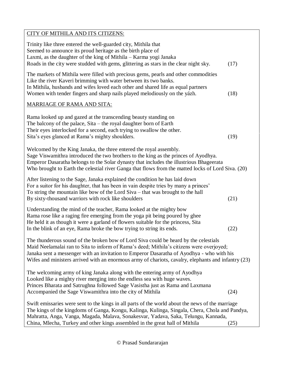| CITY OF MITHILA AND ITS CITIZENS:                                                                                                                                                                                                                                                                                                                                                    |      |
|--------------------------------------------------------------------------------------------------------------------------------------------------------------------------------------------------------------------------------------------------------------------------------------------------------------------------------------------------------------------------------------|------|
| Trinity like three entered the well-guarded city, Mithila that<br>Seemed to announce its proud heritage as the birth place of<br>Laxmi, as the daughter of the king of Mithila – Karma yogi Janaka<br>Roads in the city were studded with gems, glittering as stars in the clear night sky.                                                                                          | (17) |
| The markets of Mithila were filled with precious gems, pearls and other commodities<br>Like the river Kaveri brimming with water between its two banks.<br>In Mithila, husbands and wifes loved each other and shared life as equal partners<br>Women with tender fingers and sharp nails played melodiously on the yázh.                                                            | (18) |
| <b>MARRIAGE OF RAMA AND SITA:</b>                                                                                                                                                                                                                                                                                                                                                    |      |
| Rama looked up and gazed at the transcending beauty standing on<br>The balcony of the palace, $Sita$ – the royal daughter born of Earth<br>Their eyes interlocked for a second, each trying to swallow the other.<br>Sita's eyes glanced at Rama's mighty shoulders.                                                                                                                 | (19) |
| Welcomed by the King Janaka, the three entered the royal assembly.<br>Sage Viswamithra introduced the two brothers to the king as the princes of Ayodhya.<br>Emperor Dasaratha belongs to the Solar dynasty that includes the illustrious Bhageerata<br>Who brought to Earth the celestial river Ganga that flows from the matted locks of Lord Siva. (20)                           |      |
| After listening to the Sage, Janaka explained the condition he has laid down<br>For a suitor for his daughter, that has been in vain despite tries by many a princes'<br>To string the mountain like bow of the Lord Siva – that was brought to the hall<br>By sixty-thousand warriors with rock like shoulders                                                                      | (21) |
| Understanding the mind of the teacher, Rama looked at the mighty bow<br>Rama rose like a raging fire emerging from the yoga pit being poured by ghee<br>He held it as though it were a garland of flowers suitable for the princess, Sita<br>In the blink of an eye, Rama broke the bow trying to string its ends.                                                                   | (22) |
| The thunderous sound of the broken bow of Lord Siva could be heard by the celestials<br>Maid Neelamalai ran to Sita to inform of Rama's deed; Mithila's citizens were overjoyed;<br>Janaka sent a messenger with an invitation to Emperor Dasaratha of Ayodhya - who with his<br>Wifes and ministers arrived with an enormous army of chariots, cavalry, elephants and infantry (23) |      |
| The welcoming army of king Janaka along with the entering army of Ayodhya<br>Looked like a mighty river merging into the endless sea with huge waves.<br>Princes Bharata and Satrughna followed Sage Vasistha just as Rama and Laxmana<br>Accompanied the Sage Viswamithra into the city of Mithila                                                                                  | (24) |
| Swift emissaries were sent to the kings in all parts of the world about the news of the marriage<br>The kings of the kingdoms of Ganga, Kongu, Kalinga, Kulinga, Singala, Chera, Chola and Pandya,<br>Mahratta, Anga, Vanga, Magada, Malava, Sonakesvar, Yadava, Saka, Telungu, Kannada,<br>China, Mlecha, Turkey and other kings assembled in the great hall of Mithila             | (25) |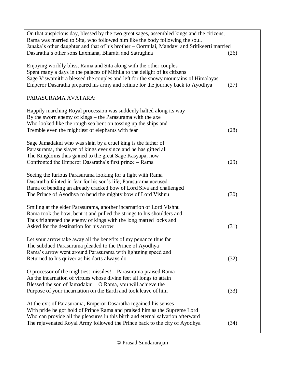| On that auspicious day, blessed by the two great sages, assembled kings and the citizens,<br>Rama was married to Sita, who followed him like the body following the soul.<br>Janaka's other daughter and that of his brother - Oormilai, Mandavi and Sritikeerti married                                                  |      |
|---------------------------------------------------------------------------------------------------------------------------------------------------------------------------------------------------------------------------------------------------------------------------------------------------------------------------|------|
| Dasaratha's other sons Laxmana, Bharata and Satrughna                                                                                                                                                                                                                                                                     | (26) |
| Enjoying worldly bliss, Rama and Sita along with the other couples<br>Spent many a days in the palaces of Mithila to the delight of its citizens<br>Sage Viswamithra blessed the couples and left for the snowy mountains of Himalayas<br>Emperor Dasaratha prepared his army and retinue for the journey back to Ayodhya | (27) |
| PARASURAMA AVATARA:                                                                                                                                                                                                                                                                                                       |      |
| Happily marching Royal procession was suddenly halted along its way<br>By the sworn enemy of kings – the Parasurama with the axe<br>Who looked like the rough sea bent on tossing up the ships and<br>Tremble even the mightiest of elephants with fear                                                                   | (28) |
| Sage Jamadakni who was slain by a cruel king is the father of<br>Parasurama, the slayer of kings ever since and he has gifted all<br>The Kingdoms thus gained to the great Sage Kasyapa, now<br>Confronted the Emperor Dasaratha's first prince - Rama                                                                    | (29) |
| Seeing the furious Parasurama looking for a fight with Rama<br>Dasaratha fainted in fear for his son's life; Parasurama accused<br>Rama of bending an already cracked bow of Lord Siva and challenged<br>The Prince of Ayodhya to bend the mighty bow of Lord Vishnu                                                      | (30) |
| Smiling at the elder Parasurama, another incarnation of Lord Vishnu<br>Rama took the bow, bent it and pulled the strings to his shoulders and<br>Thus frightened the enemy of kings with the long matted locks and<br>Asked for the destination for his arrow                                                             | (31) |
| Let your arrow take away all the benefits of my penance thus far<br>The subdued Parasurama pleaded to the Prince of Ayodhya<br>Rama's arrow went around Parasurama with lightning speed and<br>Returned to his quiver as his darts always do                                                                              | (32) |
| O processor of the mightiest missiles! – Parasurama praised Rama<br>As the incarnation of virtues whose divine feet all longs to attain<br>Blessed the son of Jamadakni – O Rama, you will achieve the<br>Purpose of your incarnation on the Earth and took leave of him                                                  | (33) |
| At the exit of Parasurama, Emperor Dasaratha regained his senses<br>With pride he got hold of Prince Rama and praised him as the Supreme Lord<br>Who can provide all the pleasures in this birth and eternal salvation afterward<br>The rejuvenated Royal Army followed the Prince back to the city of Ayodhya            | (34) |
|                                                                                                                                                                                                                                                                                                                           |      |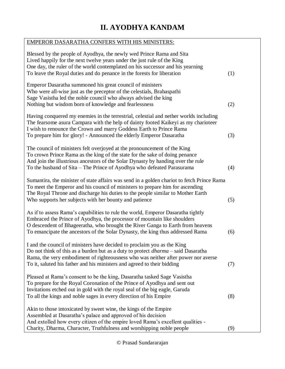# **II. AYODHYA KANDAM**

| <b>EMPEROR DASARATHA CONFERS WITH HIS MINISTERS:</b>                                                                                                                                                                                                                                                                                |     |
|-------------------------------------------------------------------------------------------------------------------------------------------------------------------------------------------------------------------------------------------------------------------------------------------------------------------------------------|-----|
| Blessed by the people of Ayodhya, the newly wed Prince Rama and Sita<br>Lived happily for the next twelve years under the just rule of the King<br>One day, the ruler of the world contemplated on his successor and his yearning<br>To leave the Royal duties and do penance in the forests for liberation                         | (1) |
| Emperor Dasaratha summoned his great council of ministers<br>Who were all-wise just as the preceptor of the celestials, Brahaspathi<br>Sage Vasistha led the noble council who always advised the king<br>Nothing but wisdom born of knowledge and fearlessness                                                                     | (2) |
| Having conquered my enemies in the terrestrial, celestial and nether worlds including<br>The fearsome asura Campara with the help of dainty footed Kaikeyi as my charioteer<br>I wish to renounce the Crown and marry Goddess Earth to Prince Rama<br>To prepare him for glory! - Announced the elderly Emperor Dasaratha           | (3) |
| The council of ministers felt overjoyed at the pronouncement of the King<br>To crown Prince Rama as the king of the state for the sake of doing penance<br>And join the illustrious ancestors of the Solar Dynasty by handing over the rule<br>To the husband of Sita – The Prince of Ayodhya who defeated Parasurama               | (4) |
| Sumantira, the minister of state affairs was send in a golden chariot to fetch Prince Rama<br>To meet the Emperor and his council of ministers to prepare him for ascending<br>The Royal Throne and discharge his duties to the people similar to Mother Earth<br>Who supports her subjects with her bounty and patience            | (5) |
| As if to assess Rama's capabilities to rule the world, Emperor Dasaratha tightly<br>Embraced the Prince of Ayodhya, the processor of mountain like shoulders<br>O descendent of Bhageeratha, who brought the River Ganga to Earth from heavens<br>To emancipate the ancestors of the Solar Dynasty, the king thus addressed Rama    | (6) |
| I and the council of ministers have decided to proclaim you as the King<br>Do not think of this as a burden but as a duty to protect <i>dharma</i> – said Dasaratha<br>Rama, the very embodiment of righteousness who was neither after power nor averse<br>To it, saluted his father and his ministers and agreed to their bidding | (7) |
| Pleased at Rama's consent to be the king, Dasaratha tasked Sage Vasistha<br>To prepare for the Royal Coronation of the Prince of Ayodhya and sent out<br>Invitations etched out in gold with the royal seal of the big eagle, Garuda<br>To all the kings and noble sages in every direction of his Empire                           | (8) |
| Akin to those intoxicated by sweet wine, the kings of the Empire<br>Assembled at Dasaratha's palace and approved of his decision<br>And extolled how every citizen of the empire loved Rama's excellent qualities -<br>Charity, Dharma, Character, Truthfulness and worshipping noble people                                        | (9) |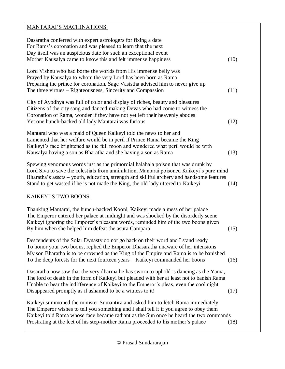## MANTARAI'S MACHINATIONS: Dasaratha conferred with expert astrologers for fixing a date For Rams's coronation and was pleased to learn that the next Day itself was an auspicious date for such an exceptional event Mother Kausalya came to know this and felt immense happiness (10) Lord Vishnu who had borne the worlds from His immense belly was Prayed by Kausalya to whom the very Lord has been born as Rama Preparing the prince for coronation, Sage Vasistha advised him to never give up The three virtues – Righteousness, Sincerity and Compassion (11) City of Ayodhya was full of color and display of riches, beauty and pleasures Citizens of the city sang and danced making Devas who had come to witness the Coronation of Rama, wonder if they have not yet left their heavenly abodes Yet one hunch-backed old lady Mantarai was furious (12) Mantarai who was a maid of Queen Kaikeyi told the news to her and Lamented that her welfare would be in peril if Prince Rama became the King Kaikeyi's face brightened as the full moon and wondered what peril would be with Kausalya having a son as Bharatha and she having a son as Rama (13) Spewing venomous words just as the primordial halahala poison that was drunk by Lord Siva to save the celestials from annihilation, Mantarai poisoned Kaikeyi's pure mind Bharatha's assets – youth, education, strength and skillful archery and handsome features Stand to get wasted if he is not made the King, the old lady uttered to Kaikeyi (14) KAIKEYI'S TWO BOONS: Thanking Mantarai, the hunch-backed Kooni, Kaikeyi made a mess of her palace The Emperor entered her palace at midnight and was shocked by the disorderly scene Kaikeyi ignoring the Emporer's pleasant words, reminded him of the two boons given By him when she helped him defeat the asura Campara (15) Descendents of the Solar Dynasty do not go back on their word and I stand ready To honor your two boons, replied the Emperor Dhasaratha unaware of her intensions My son Bharatha is to be crowned as the King of the Empire and Rama is to be banished To the deep forests for the next fourteen years – Kaikeyi commanded her boons (16) Dasaratha now saw that the very dharma he has sworn to uphold is dancing as the Yama, The lord of death in the form of Kaikeyi but pleaded with her at least not to banish Rama Unable to bear the indifference of Kaikeyi to the Emperor's pleas, even the cool night Disappeared promptly as if ashamed to be a witness to it! (17) Kaikeyi summoned the minister Sumantira and asked him to fetch Rama immediately The Emperor wishes to tell you something and I shall tell it if you agree to obey them Kaikeyi told Rama whose face became radiant as the Sun once he heard the two commands Prostrating at the feet of his step-mother Rama proceeded to his mother's palace (18)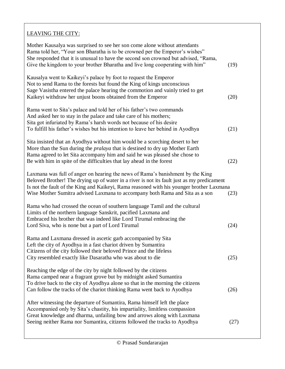### LEAVING THE CITY:

| Mother Kausalya was surprised to see her son come alone without attendants<br>Rama told her, "Your son Bharatha is to be crowned per the Emperor's wishes"<br>She responded that it is unusual to have the second son crowned but advised, "Rama,<br>Give the kingdom to your brother Bharatha and live long cooperating with him"                       | (19) |
|----------------------------------------------------------------------------------------------------------------------------------------------------------------------------------------------------------------------------------------------------------------------------------------------------------------------------------------------------------|------|
| Kausalya went to Kaikeyi's palace by foot to request the Emperor<br>Not to send Rama to the forests but found the King of kings unconscious<br>Sage Vasistha entered the palace hearing the commotion and vainly tried to get<br>Kaikeyi withdraw her unjust boons obtained from the Emperor                                                             | (20) |
| Rama went to Sita's palace and told her of his father's two commands<br>And asked her to stay in the palace and take care of his mothers;<br>Sita got infuriated by Rama's harsh words not because of his desire<br>To fulfill his father's wishes but his intention to leave her behind in Ayodhya                                                      | (21) |
| Sita insisted that an Ayodhya without him would be a scorching desert to her<br>More than the Sun during the <i>pralaya</i> that is destined to dry up Mother Earth<br>Rama agreed to let Sita accompany him and said he was pleased she chose to<br>Be with him in spite of the difficulties that lay ahead in the forest                               | (22) |
| Laxmana was full of anger on hearing the news of Rama's banishment by the King<br>Beloved Brother! The drying up of water in a river is not its fault just as my predicament<br>Is not the fault of the King and Kaikeyi, Rama reasoned with his younger brother Laxmana<br>Wise Mother Sumitra advised Laxmana to accompany both Rama and Sita as a son | (23) |
| Rama who had crossed the ocean of southern language Tamil and the cultural<br>Limits of the northern language Sanskrit, pacified Laxmana and<br>Embraced his brother that was indeed like Lord Tirumal embracing the<br>Lord Siva, who is none but a part of Lord Tirumal                                                                                | (24) |
| Rama and Laxmana dressed in ascetic garb accompanied by Sita<br>Left the city of Ayodhya in a fast chariot driven by Sumantira<br>Citizens of the city followed their beloved Prince and the lifeless<br>City resembled exactly like Dasaratha who was about to die                                                                                      | (25) |
| Reaching the edge of the city by night followed by the citizens<br>Rama camped near a fragrant grove but by midnight asked Sumantira<br>To drive back to the city of Ayodhya alone so that in the morning the citizens<br>Can follow the tracks of the chariot thinking Rama went back to Ayodhya                                                        | (26) |
| After witnessing the departure of Sumantira, Rama himself left the place<br>Accompanied only by Sita's chastity, his impartiality, limitless compassion<br>Great knowledge and dharma, unfailing bow and arrows along with Laxmana<br>Seeing neither Rama nor Sumantira, citizens followed the tracks to Ayodhya                                         | (27) |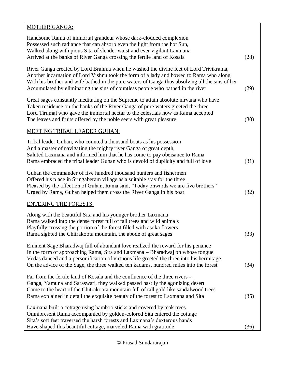### MOTHER GANGA: Handsome Rama of immortal grandeur whose dark-clouded complexion Possessed such radiance that can absorb even the light from the hot Sun, Walked along with pious Sita of slender waist and ever vigilant Laxmana Arrived at the banks of River Ganga crossing the fertile land of Kosala (28) River Ganga created by Lord Brahma when he washed the divine feet of Lord Trivikrama, Another incarnation of Lord Vishnu took the form of a lady and bowed to Rama who along With his brother and wife bathed in the pure waters of Ganga thus absolving all the sins of her Accumulated by eliminating the sins of countless people who bathed in the river (29) Great sages constantly meditating on the Supreme to attain absolute nirvana who have Taken residence on the banks of the River Ganga of pure waters greeted the three Lord Tirumal who gave the immortal nectar to the celestials now as Rama accepted The leaves and fruits offered by the noble seers with great pleasure (30) MEETING TRIBAL LEADER GUHAN: Tribal leader Guhan, who counted a thousand boats as his possession And a master of navigating the mighty river Ganga of great depth, Saluted Laxmana and informed him that he has come to pay obeisance to Rama Rama embraced the tribal leader Guhan who is devoid of duplicity and full of love (31) Guhan the commander of five hundred thousand hunters and fishermen Offered his place in Sringaberam village as a suitable stay for the three Pleased by the affection of Guhan, Rama said, "Today onwards we are five brothers" Urged by Rama, Guhan helped them cross the River Ganga in his boat (32) ENTERING THE FORESTS: Along with the beautiful Sita and his younger brother Laxmana Rama walked into the dense forest full of tall trees and wild animals Playfully crossing the portion of the forest filled with asoka flowers Rama sighted the Chitrakoota mountain, the abode of great sages (33) Eminent Sage Bharadwaj full of abundant love realized the reward for his penance In the form of approaching Rama, Sita and Laxmana – Bharadwaj on whose tongue Vedas danced and a personification of virtuous life greeted the three into his hermitage On the advice of the Sage, the three walked ten kadams, hundred miles into the forest (34) Far from the fertile land of Kosala and the confluence of the three rivers - Ganga, Yamuna and Saraswati, they walked passed hastily the agonizing desert Came to the heart of the Chitrakoota mountain full of tall gold like sandalwood trees Rama explained in detail the exquisite beauty of the forest to Laxmana and Sita (35) Laxmana built a cottage using bamboo sticks and covered by teak trees Omnipresent Rama accompanied by golden-colored Sita entered the cottage Sita's soft feet traversed the harsh forests and Laxmana's dexterous hands Have shaped this beautiful cottage, marveled Rama with gratitude (36)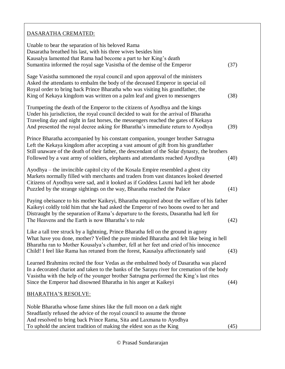#### DASARATHA CREMATED:

| Unable to bear the separation of his beloved Rama<br>Dasaratha breathed his last, with his three wives besides him<br>Kausalya lamented that Rama had become a part to her King's death<br>Sumantira informed the royal sage Vasistha of the demise of the Emperor                                                                                            | (37) |
|---------------------------------------------------------------------------------------------------------------------------------------------------------------------------------------------------------------------------------------------------------------------------------------------------------------------------------------------------------------|------|
| Sage Vasistha summoned the royal council and upon approval of the ministers<br>Asked the attendants to embalm the body of the deceased Emperor in special oil<br>Royal order to bring back Prince Bharatha who was visiting his grandfather, the<br>King of Kekaya kingdom was written on a palm leaf and given to messengers                                 | (38) |
| Trumpeting the death of the Emperor to the citizens of Ayodhya and the kings<br>Under his jurisdiction, the royal council decided to wait for the arrival of Bharatha<br>Traveling day and night in fast horses, the messengers reached the gates of Kekaya<br>And presented the royal decree asking for Bharatha's immediate return to Ayodhya               | (39) |
| Prince Bharatha accompanied by his constant companion, younger brother Satrugna<br>Left the Kekaya kingdom after accepting a vast amount of gift from his grandfather<br>Still unaware of the death of their father, the descendant of the Solar dynasty, the brothers<br>Followed by a vast army of soldiers, elephants and attendants reached Ayodhya       | (40) |
| Ayodhya – the invincible capitol city of the Kosala Empire resembled a ghost city<br>Markets normally filled with merchants and traders from vast distances looked deserted<br>Citizens of Ayodhya were sad, and it looked as if Goddess Laxmi had left her abode<br>Puzzled by the strange sightings on the way, Bharatha reached the Palace                 | (41) |
| Paying obeisance to his mother Kaikeyi, Bharatha enquired about the welfare of his father<br>Kaikeyi coldly told him that she had asked the Emperor of two boons owed to her and<br>Distraught by the separation of Rama's departure to the forests, Dasaratha had left for<br>The Heavens and the Earth is now Bharatha's to rule                            | (42) |
| Like a tall tree struck by a lightning, Prince Bharatha fell on the ground in agony<br>What have you done, mother? Yelled the pure minded Bharatha and felt like being in hell<br>Bharatha ran to Mother Kousalya's chamber, fell at her feet and cried of his innocence<br>Child! I feel like Rama has retuned from the forest, Kausalya affectionately said | (43) |
| Learned Brahmins recited the four Vedas as the embalmed body of Dasaratha was placed<br>In a decorated chariot and taken to the banks of the Sarayu river for cremation of the body<br>Vasistha with the help of the younger brother Satrugna performed the King's last rites<br>Since the Emperor had disowned Bharatha in his anger at Kaikeyi              | (44) |
| <u>BHARATHA'S RESOLVE:</u>                                                                                                                                                                                                                                                                                                                                    |      |
| Noble Bharatha whose fame shines like the full moon on a dark night<br>Steadfastly refused the advice of the royal council to assume the throne<br>And resolved to bring back Prince Rama, Sita and Laxmana to Ayodhya                                                                                                                                        |      |
| To uphold the ancient tradition of making the eldest son as the King                                                                                                                                                                                                                                                                                          | (45) |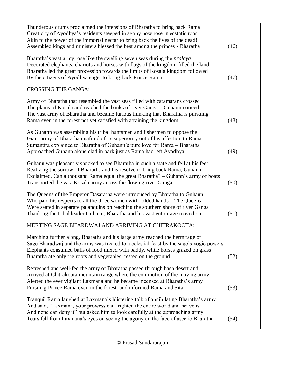| Thunderous drums proclaimed the intensions of Bharatha to bring back Rama<br>Great city of Ayodhya's residents steeped in agony now rose in ecstatic roar<br>Akin to the power of the immortal nectar to bring back the lives of the dead!<br>Assembled kings and ministers blessed the best among the princes - Bharatha               | (46) |
|-----------------------------------------------------------------------------------------------------------------------------------------------------------------------------------------------------------------------------------------------------------------------------------------------------------------------------------------|------|
| Bharatha's vast army rose like the swelling seven seas during the <i>pralaya</i><br>Decorated elephants, chariots and horses with flags of the kingdom filled the land<br>Bharatha led the great procession towards the limits of Kosala kingdom followed<br>By the citizens of Ayodhya eager to bring back Prince Rama                 | (47) |
| <b>CROSSING THE GANGA:</b>                                                                                                                                                                                                                                                                                                              |      |
| Army of Bharatha that resembled the vast seas filled with catamarans crossed<br>The plains of Kosala and reached the banks of river Ganga – Guhann noticed<br>The vast army of Bharatha and became furious thinking that Bharatha is pursuing<br>Rama even in the forest not yet satisfied with attaining the kingdom                   | (48) |
| As Guhann was assembling his tribal huntsmen and fishermen to oppose the<br>Giant army of Bharatha unafraid of its superiority out of his affection to Rama<br>Sumantira explained to Bharatha of Guhann's pure love for Rama – Bharatha<br>Approached Guhann alone clad in bark just as Rama had left Ayodhya                          | (49) |
| Guhann was pleasantly shocked to see Bharatha in such a state and fell at his feet<br>Realizing the sorrow of Bharatha and his resolve to bring back Rama, Guhann<br>Exclaimed, Can a thousand Rama equal the great Bharatha? – Guhann's army of boats<br>Transported the vast Kosala army across the flowing river Ganga               | (50) |
| The Queens of the Emperor Dasaratha were introduced by Bharatha to Guhann<br>Who paid his respects to all the three women with folded hands – The Queens<br>Were seated in separate palanquins on reaching the southern shore of river Ganga<br>Thanking the tribal leader Guhann, Bharatha and his vast entourage moved on             | (51) |
| MEETING SAGE BHARDWAJ AND ARRIVING AT CHITRAKOOTA:                                                                                                                                                                                                                                                                                      |      |
| Marching further along, Bharatha and his large army reached the hermitage of<br>Sage Bharadwaj and the army was treated to a celestial feast by the sage's yogic powers<br>Elephants consumed balls of food mixed with paddy, while horses grazed on grass<br>Bharatha ate only the roots and vegetables, rested on the ground          | (52) |
| Refreshed and well-fed the army of Bharatha passed through hash desert and<br>Arrived at Chitrakoota mountain range where the commotion of the moving army<br>Alerted the ever vigilant Laxmana and he became incensed at Bharatha's army<br>Pursuing Prince Rama even in the forest and informed Rama and Sita                         | (53) |
| Tranquil Rama laughed at Laxmana's blistering talk of annihilating Bharatha's army<br>And said, "Laxmana, your prowess can frighten the entire world and heavens<br>And none can deny it" but asked him to look carefully at the approaching army<br>Tears fell from Laxmana's eyes on seeing the agony on the face of ascetic Bharatha | (54) |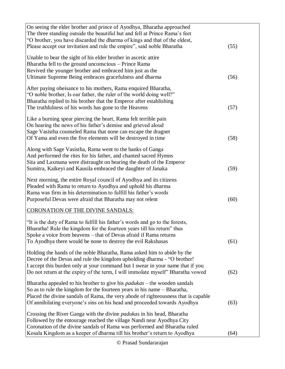| On seeing the elder brother and prince of Ayodhya, Bharatha approached                        |      |
|-----------------------------------------------------------------------------------------------|------|
| The three standing outside the beautiful hut and fell at Prince Rama's feet                   |      |
| "O brother, you have discarded the dharma of kings and that of the eldest,                    |      |
|                                                                                               |      |
| Please accept our invitation and rule the empire", said noble Bharatha                        | (55) |
|                                                                                               |      |
| Unable to bear the sight of his elder brother in ascetic attire                               |      |
| Bharatha fell to the ground unconscious - Prince Rama                                         |      |
| Revived the younger brother and embraced him just as the                                      |      |
| Ultimate Supreme Being embraces gracefulness and dharma                                       | (56) |
|                                                                                               |      |
| After paying obeisance to his mothers, Rama enquired Bharatha,                                |      |
| "O noble brother, Is our father, the ruler of the world doing well?"                          |      |
|                                                                                               |      |
| Bharatha replied to his brother that the Emperor after establishing                           |      |
| The truthfulness of his words has gone to the Heavens                                         | (57) |
|                                                                                               |      |
| Like a burning spear piercing the heart, Rama felt terrible pain                              |      |
| On hearing the news of his father's demise and grieved aloud                                  |      |
| Sage Vasistha counseled Rama that none can escape the dragnet                                 |      |
| Of Yama and even the five elements will be destroyed in time                                  | (58) |
|                                                                                               |      |
| Along with Sage Vasistha, Rama went to the banks of Ganga                                     |      |
| And performed the rites for his father, and chanted sacred Hymns                              |      |
|                                                                                               |      |
| Sita and Laxmana were distraught on hearing the death of the Emperor                          |      |
| Sumitra, Kaikeyi and Kausila embraced the daughter of Janaka                                  | (59) |
|                                                                                               |      |
| Next morning, the entire Royal council of Ayodhya and its citizens                            |      |
| Pleaded with Rama to return to Ayodhya and uphold his dharma                                  |      |
| Rama was firm in his determination to fulfill his father's words                              |      |
| Purposeful Devas were afraid that Bharatha may not relent                                     | (60) |
|                                                                                               |      |
| <b>CORONATION OF THE DIVINE SANDALS:</b>                                                      |      |
| "It is the duty of Rama to fulfill his father's words and go to the forests,                  |      |
|                                                                                               |      |
| Bharatha! Rule the kingdom for the fourteen years till his return" thus                       |      |
| Spoke a voice from heavens – that of Devas afraid if Rama returns                             |      |
| To Ayodhya there would be none to destroy the evil Rakshasas                                  | (61) |
|                                                                                               |      |
| Holding the hands of the noble Bharatha, Rama asked him to abide by the                       |      |
| Decree of the Devas and rule the kingdom upholding dharma - "O brother!                       |      |
| I accept this burden only at your command but I swear in your name that if you                |      |
| Do not return at the expiry of the term, I will immolate myself" Bharatha vowed               | (62) |
|                                                                                               |      |
| Bharatha appealed to his brother to give his $p_{\alpha}$ <i>padukas</i> – the wooden sandals |      |
| So as to rule the kingdom for the fourteen years in his name – Bharatha,                      |      |
|                                                                                               |      |
| Placed the divine sandals of Rama, the very abode of righteousness that is capable            |      |
| Of annihilating everyone's sins on his head and proceeded towards Ayodhya                     | (63) |
|                                                                                               |      |
| Crossing the River Ganga with the divine <i>padukas</i> in his head, Bharatha                 |      |
| Followed by the entourage reached the village Nandi near Ayodhya City                         |      |
| Coronation of the divine sandals of Rama was performed and Bharatha ruled                     |      |
| Kosala Kingdom as a keeper of dharma till his brother's return to Ayodhya                     | (64) |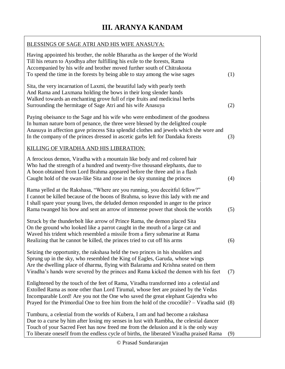| BLESSINGS OF SAGE ATRI AND HIS WIFE ANASUYA:                                                                                                                                                                                                                                                                                                                       |     |
|--------------------------------------------------------------------------------------------------------------------------------------------------------------------------------------------------------------------------------------------------------------------------------------------------------------------------------------------------------------------|-----|
| Having appointed his brother, the noble Bharatha as the keeper of the World<br>Till his return to Ayodhya after fulfilling his exile to the forests, Rama<br>Accompanied by his wife and brother moved further south of Chitrakoota<br>To spend the time in the forests by being able to stay among the wise sages                                                 | (1) |
| Sita, the very incarnation of Laxmi, the beautiful lady with pearly teeth<br>And Rama and Laxmana holding the bows in their long slender hands<br>Walked towards an enchanting grove full of ripe fruits and medicinal herbs<br>Surrounding the hermitage of Sage Atri and his wife Anasuya                                                                        | (2) |
| Paying obeisance to the Sage and his wife who were embodiment of the goodness<br>In human nature born of penance, the three were blessed by the delighted couple<br>Anasuya in affection gave princess Sita splendid clothes and jewels which she wore and<br>In the company of the princes dressed in ascetic garbs left for Dandaka forests                      | (3) |
| KILLING OF VIRADHA AND HIS LIBERATION:                                                                                                                                                                                                                                                                                                                             |     |
| A ferocious demon, Viradha with a mountain like body and red colored hair<br>Who had the strength of a hundred and twenty-five thousand elephants, due to<br>A boon obtained from Lord Brahma appeared before the three and in a flash<br>Caught hold of the swan-like Sita and rose in the sky stunning the princes                                               | (4) |
| Rama yelled at the Rakshasa, "Where are you running, you deceitful fellow?"<br>I cannot be killed because of the boons of Brahma, so leave this lady with me and<br>I shall spare your young lives, the deluded demon responded in anger to the prince<br>Rama twanged his bow and sent an arrow of immense power that shook the worlds                            | (5) |
| Struck by the thunderbolt like arrow of Prince Rama, the demon placed Sita<br>On the ground who looked like a parrot caught in the mouth of a large cat and<br>Waved his trident which resembled a missile from a fiery submarine at Rama<br>Realizing that he cannot be killed, the princes tried to cut off his arms                                             | (6) |
| Seizing the opportunity, the rakshasa held the two princes in his shoulders and<br>Sprung up in the sky, who resembled the King of Eagles, Garuda, whose wings<br>Are the dwelling place of dharma, flying with Balarama and Krishna seated on them<br>Viradha's hands were severed by the princes and Rama kicked the demon with his feet                         | (7) |
| Enlightened by the touch of the feet of Rama, Viradha transformed into a celestial and<br>Extolled Rama as none other than Lord Tirumal, whose feet are praised by the Vedas<br>Incomparable Lord! Are you not the One who saved the great elephant Gajendra who<br>Prayed for the Primordial One to free him from the hold of the crocodile? $-$ Viradha said (8) |     |
| Tumburu, a celestial from the worlds of Kubera, I am and had become a rakshasa<br>Due to a curse by him after losing my senses in lust with Rambha, the celestial dancer<br>Touch of your Sacred Feet has now freed me from the delusion and it is the only way<br>To liberate oneself from the endless cycle of births, the liberated Viradha praised Rama        | (9) |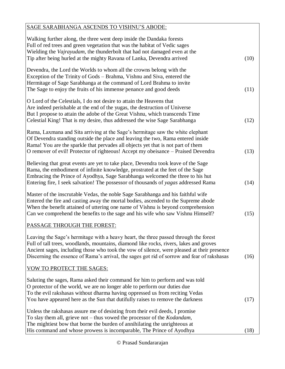| SAGE SARABHANGA ASCENDS TO VISHNU'S ABODE:                                                                                                                                                                                                                                                                                                                                  |      |
|-----------------------------------------------------------------------------------------------------------------------------------------------------------------------------------------------------------------------------------------------------------------------------------------------------------------------------------------------------------------------------|------|
| Walking further along, the three went deep inside the Dandaka forests<br>Full of red trees and green vegetation that was the habitat of Vedic sages<br>Wielding the Vajrayudam, the thunderbolt that had not damaged even at the<br>Tip after being hurled at the mighty Ravana of Lanka, Devendra arrived                                                                  | (10) |
| Devendra, the Lord the Worlds to whom all the crowns belong with the<br>Exception of the Trinity of Gods – Brahma, Vishnu and Siva, entered the<br>Hermitage of Sage Sarabhanga at the command of Lord Brahma to invite<br>The Sage to enjoy the fruits of his immense penance and good deeds                                                                               | (11) |
| O Lord of the Celestials, I do not desire to attain the Heavens that<br>Are indeed perishable at the end of the yugas, the destruction of Universe<br>But I propose to attain the adobe of the Great Vishnu, which transcends Time<br>Celestial King! That is my desire, thus addressed the wise Sage Sarabhanga                                                            | (12) |
| Rama, Laxmana and Sita arriving at the Sage's hermitage saw the white elephant<br>Of Devendra standing outside the place and leaving the two, Rama entered inside<br>Rama! You are the sparkle that pervades all objects yet that is not part of them<br>O remover of evil! Protector of righteous! Accept my obeisance – Praised Devendra                                  | (13) |
| Believing that great events are yet to take place, Devendra took leave of the Sage<br>Rama, the embodiment of infinite knowledge, prostrated at the feet of the Sage<br>Embracing the Prince of Ayodhya, Sage Sarabhanga welcomed the three to his hut<br>Entering fire, I seek salvation! The possessor of thousands of yagas addressed Rama                               | (14) |
| Master of the inscrutable Vedas, the noble Sage Sarabhanga and his faithful wife<br>Entered the fire and casting away the mortal bodies, ascended to the Supreme abode<br>When the benefit attained of uttering one name of Vishnu is beyond comprehension<br>Can we comprehend the benefits to the sage and his wife who saw Vishnu Himself?                               | (15) |
| PASSAGE THROUGH THE FOREST:                                                                                                                                                                                                                                                                                                                                                 |      |
| Leaving the Sage's hermitage with a heavy heart, the three passed through the forest<br>Full of tall trees, woodlands, mountains, diamond like rocks, rivers, lakes and groves<br>Ancient sages, including those who took the vow of silence, were pleased at their presence<br>Discerning the essence of Rama's arrival, the sages got rid of sorrow and fear of rakshasas | (16) |
| VOW TO PROTECT THE SAGES:                                                                                                                                                                                                                                                                                                                                                   |      |
| Saluting the sages, Rama asked their command for him to perform and was told<br>O protector of the world, we are no longer able to perform our duties due<br>To the evil rakshasas without dharma having oppressed us from reciting Vedas<br>You have appeared here as the Sun that dutifully raises to remove the darkness                                                 | (17) |
| Unless the rakshasas assure me of desisting from their evil deeds, I promise<br>To slay them all, grieve not $-$ thus vowed the processor of the <i>Kodandam</i> ,<br>The mightiest bow that borne the burden of annihilating the unrighteous at<br>His command and whose prowess is incomparable, The Prince of Ayodhya                                                    | (18) |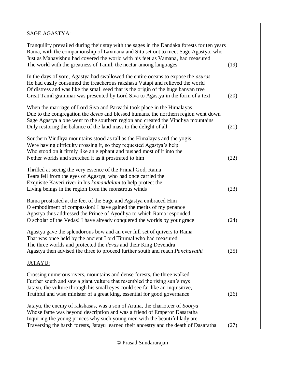### SAGE AGASTYA:

| Tranquility prevailed during their stay with the sages in the Dandaka forests for ten years<br>Rama, with the companionship of Laxmana and Sita set out to meet Sage Agastya, who<br>Just as Mahavishnu had covered the world with his feet as Vamana, had measured<br>The world with the greatness of Tamil, the nectar among languages           | (19) |
|----------------------------------------------------------------------------------------------------------------------------------------------------------------------------------------------------------------------------------------------------------------------------------------------------------------------------------------------------|------|
| In the days of yore, Agastya had swallowed the entire oceans to expose the <i>asuras</i><br>He had easily consumed the treacherous rakshasa Vatapi and relieved the world<br>Of distress and was like the small seed that is the origin of the huge banyan tree<br>Great Tamil grammar was presented by Lord Siva to Agastya in the form of a text | (20) |
| When the marriage of Lord Siva and Parvathi took place in the Himalayas<br>Due to the congregation the <i>devas</i> and blessed humans, the northern region went down<br>Sage Agastya alone went to the southern region and created the Vindhya mountains<br>Duly restoring the balance of the land mass to the delight of all                     | (21) |
| Southern Vindhya mountains stood as tall as the Himalayas and the yogis<br>Were having difficulty crossing it, so they requested Agastya's help<br>Who stood on it firmly like an elephant and pushed most of it into the<br>Nether worlds and stretched it as it prostrated to him                                                                | (22) |
| Thrilled at seeing the very essence of the Primal God, Rama<br>Tears fell from the eyes of Agastya, who had once carried the<br>Exquisite Kaveri river in his kamandalam to help protect the<br>Living beings in the region from the monstrous winds                                                                                               | (23) |
| Rama prostrated at the feet of the Sage and Agastya embraced Him<br>O embodiment of compassion! I have gained the merits of my penance<br>Agastya thus addressed the Prince of Ayodhya to which Rama responded<br>O scholar of the Vedas! I have already conquered the worlds by your grace                                                        | (24) |
| Agastya gave the splendorous bow and an ever full set of quivers to Rama<br>That was once held by the ancient Lord Tirumal who had measured<br>The three worlds and protected the <i>devas</i> and their King Devendra<br>Agastya then advised the three to proceed further south and reach Panchavathi                                            | (25) |
| <u>JATAYU:</u>                                                                                                                                                                                                                                                                                                                                     |      |
| Crossing numerous rivers, mountains and dense forests, the three walked<br>Further south and saw a giant vulture that resembled the rising sun's rays<br>Jatayu, the vulture through his small eyes could see far like an inquisitive,<br>Truthful and wise minister of a great king, essential for good governance                                | (26) |
| Jatayu, the enemy of rakshasas, was a son of Aruna, the charioteer of Soorya<br>Whose fame was beyond description and was a friend of Emperor Dasaratha<br>Inquiring the young princes why such young men with the beautiful lady are<br>Traversing the harsh forests, Jatayu learned their ancestry and the death of Dasaratha                    | (27) |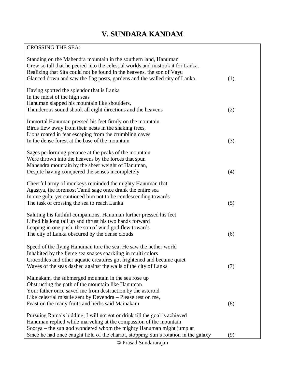# **V. SUNDARA KANDAM**

# CROSSING THE SEA:

| Standing on the Mahendra mountain in the southern land, Hanuman<br>Grew so tall that he peered into the celestial worlds and mistook it for Lanka.<br>Realizing that Sita could not be found in the heavens, the son of Vayu<br>Glanced down and saw the flag posts, gardens and the walled city of Lanka | (1) |
|-----------------------------------------------------------------------------------------------------------------------------------------------------------------------------------------------------------------------------------------------------------------------------------------------------------|-----|
| Having spotted the splendor that is Lanka<br>In the midst of the high seas<br>Hanuman slapped his mountain like shoulders,<br>Thunderous sound shook all eight directions and the heavens                                                                                                                 | (2) |
| Immortal Hanuman pressed his feet firmly on the mountain<br>Birds flew away from their nests in the shaking trees,<br>Lions roared in fear escaping from the crumbling caves<br>In the dense forest at the base of the mountain                                                                           | (3) |
| Sages performing penance at the peaks of the mountain<br>Were thrown into the heavens by the forces that spun<br>Mahendra mountain by the sheer weight of Hanuman,<br>Despite having conquered the senses incompletely                                                                                    | (4) |
| Cheerful army of monkeys reminded the mighty Hanuman that<br>Agastya, the foremost Tamil sage once drank the entire sea<br>In one gulp, yet cautioned him not to be condescending towards<br>The task of crossing the sea to reach Lanka                                                                  | (5) |
| Saluting his faithful companions, Hanuman further pressed his feet<br>Lifted his long tail up and thrust his two hands forward<br>Leaping in one push, the son of wind god flew towards<br>The city of Lanka obscured by the dense clouds                                                                 | (6) |
| Speed of the flying Hanuman tore the sea; He saw the nether world<br>Inhabited by the fierce sea snakes sparkling in multi colors<br>Crocodiles and other aquatic creatures got frightened and became quiet<br>Waves of the seas dashed against the walls of the city of Lanka                            | (7) |
| Mainakam, the submerged mountain in the sea rose up<br>Obstructing the path of the mountain like Hanuman<br>Your father once saved me from destruction by the asteroid<br>Like celestial missile sent by Devendra – Please rest on me,<br>Feast on the many fruits and herbs said Mainakam                | (8) |
| Pursuing Rama's bidding, I will not eat or drink till the goal is achieved<br>Hanuman replied while marveling at the compassion of the mountain<br>Soorya – the sun god wondered whom the mighty Hanuman might jump at                                                                                    |     |
| Since he had once caught hold of the chariot, stopping Sun's rotation in the galaxy                                                                                                                                                                                                                       | (9) |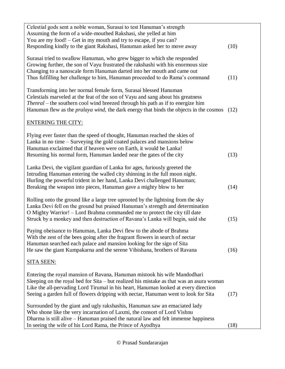| Celestial gods sent a noble woman, Surasai to test Hanuman's strength<br>Assuming the form of a wide-mouthed Rakshasi, she yelled at him<br>You are my food! – Get in my mouth and try to escape, if you can?<br>Responding kindly to the giant Rakshasi, Hanuman asked her to move away                                                            | (10) |
|-----------------------------------------------------------------------------------------------------------------------------------------------------------------------------------------------------------------------------------------------------------------------------------------------------------------------------------------------------|------|
| Surasai tried to swallow Hanuman, who grew bigger to which she responded<br>Growing further, the son of Vayu frustrated the rakshashi with his enormous size<br>Changing to a nanoscale form Hanuman darted into her mouth and came out<br>Thus fulfilling her challenge to him, Hanuman proceeded to do Rama's command                             | (11) |
| Transforming into her normal female form, Surasai blessed Hanuman<br>Celestials marveled at the feat of the son of Vayu and sang about his greatness<br>Thenral – the southern cool wind breezed through his path as if to energize him<br>Hanuman flew as the <i>pralaya wind</i> , the dark energy that binds the objects in the cosmos           | (12) |
| <b>ENTERING THE CITY:</b>                                                                                                                                                                                                                                                                                                                           |      |
| Flying ever faster than the speed of thought, Hanuman reached the skies of<br>Lanka in no time – Surveying the gold coated palaces and mansions below<br>Hanuman exclaimed that if heaven were on Earth, it would be Lanka!<br>Resuming his normal form, Hanuman landed near the gates of the city                                                  | (13) |
| Lanka Devi, the vigilant guardian of Lanka for ages, furiously greeted the<br>Intruding Hanuman entering the walled city shinning in the full moon night.<br>Hurling the powerful trident in her hand, Lanka Devi challenged Hanuman;<br>Breaking the weapon into pieces, Hanuman gave a mighty blow to her                                         | (14) |
| Rolling onto the ground like a large tree uprooted by the lightning from the sky<br>Lanka Devi fell on the ground but praised Hanuman's strength and determination<br>O Mighty Warrior! - Lord Brahma commanded me to protect the city till date<br>Struck by a monkey and then destruction of Ravana's Lanka will begin, said she                  | (15) |
| Paying obeisance to Hanuman, Lanka Devi flew to the abode of Brahma<br>With the zest of the bees going after the fragrant flowers in search of nectar<br>Hanuman searched each palace and mansion looking for the sign of Sita<br>He saw the giant Kumpakarna and the serene Vibishana, brothers of Ravana                                          | (16) |
| <u>SITA SEEN:</u>                                                                                                                                                                                                                                                                                                                                   |      |
| Entering the royal mansion of Ravana, Hanuman mistook his wife Mandodhari<br>Sleeping on the royal bed for Sita – but realized his mistake as that was an asura woman<br>Like the all-pervading Lord Tirumal in his heart, Hanuman looked at every direction<br>Seeing a garden full of flowers dripping with nectar, Hanuman went to look for Sita | (17) |
| Surrounded by the giant and ugly rakshashis, Hanuman saw an emaciated lady<br>Who shone like the very incarnation of Laxmi, the consort of Lord Vishnu<br>Dharma is still alive – Hanuman praised the natural law and felt immense happiness<br>In seeing the wife of his Lord Rama, the Prince of Ayodhya                                          | (18) |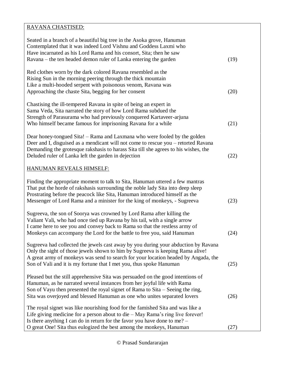### RAVANA CHASTISED:

| Seated in a branch of a beautiful big tree in the Asoka grove, Hanuman<br>Contemplated that it was indeed Lord Vishnu and Goddess Laxmi who<br>Have incarnated as his Lord Rama and his consort, Sita; then he saw<br>Ravana – the ten headed demon ruler of Lanka entering the garden                                            | (19) |
|-----------------------------------------------------------------------------------------------------------------------------------------------------------------------------------------------------------------------------------------------------------------------------------------------------------------------------------|------|
| Red clothes worn by the dark colored Ravana resembled as the<br>Rising Sun in the morning peering through the thick mountain<br>Like a multi-hooded serpent with poisonous venom, Ravana was<br>Approaching the chaste Sita, begging for her consent                                                                              | (20) |
| Chastising the ill-tempered Ravana in spite of being an expert in<br>Sama Veda, Sita narrated the story of how Lord Rama subdued the<br>Strength of Parasurama who had previously conquered Kartaveer-arjuna<br>Who himself became famous for imprisoning Ravana for a while                                                      | (21) |
| Dear honey-tongued Sita! – Rama and Laxmana who were fooled by the golden<br>Deer and I, disguised as a mendicant will not come to rescue you - retorted Ravana<br>Demanding the grotesque rakshasis to harass Sita till she agrees to his wishes, the<br>Deluded ruler of Lanka left the garden in dejection                     | (22) |
| <b>HANUMAN REVEALS HIMSELF:</b>                                                                                                                                                                                                                                                                                                   |      |
| Finding the appropriate moment to talk to Sita, Hanuman uttered a few mantras<br>That put the horde of rakshasis surrounding the noble lady Sita into deep sleep<br>Prostrating before the peacock like Sita, Hanuman introduced himself as the<br>Messenger of Lord Rama and a minister for the king of monkeys, - Sugreeva      | (23) |
| Sugreeva, the son of Soorya was crowned by Lord Rama after killing the<br>Valiant Vali, who had once tied up Ravana by his tail, with a single arrow<br>I came here to see you and convey back to Rama so that the restless army of<br>Monkeys can accompany the Lord for the battle to free you, said Hanuman                    | (24) |
| Sugreeva had collected the jewels cast away by you during your abduction by Ravana<br>Only the sight of those jewels shown to him by Sugreeva is keeping Rama alive!<br>A great army of monkeys was send to search for your location headed by Angada, the<br>Son of Vali and it is my fortune that I met you, thus spoke Hanuman | (25) |
| Pleased but the still apprehensive Sita was persuaded on the good intentions of<br>Hanuman, as he narrated several instances from her joyful life with Rama<br>Son of Vayu then presented the royal signet of Rama to Sita – Seeing the ring,<br>Sita was overjoyed and blessed Hanuman as one who unites separated lovers        | (26) |
| The royal signet was like nourishing food for the famished Sita and was like a<br>Life giving medicine for a person about to die - May Rama's ring live forever!<br>Is there anything I can do in return for the favor you have done to me? $-$                                                                                   |      |
| O great One! Sita thus eulogized the best among the monkeys, Hanuman                                                                                                                                                                                                                                                              | (27) |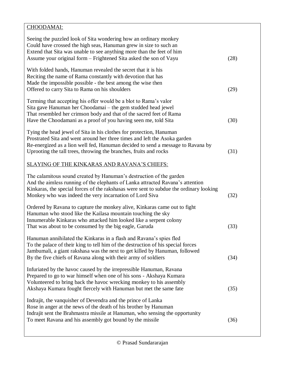| CHOODAMAI:                                                                                                                                                                                                                                                                                                 |      |
|------------------------------------------------------------------------------------------------------------------------------------------------------------------------------------------------------------------------------------------------------------------------------------------------------------|------|
| Seeing the puzzled look of Sita wondering how an ordinary monkey<br>Could have crossed the high seas, Hanuman grew in size to such an<br>Extend that Sita was unable to see anything more than the feet of him<br>Assume your original form – Frightened Sita asked the son of Vayu                        | (28) |
| With folded hands, Hanuman revealed the secret that it is his<br>Reciting the name of Rama constantly with devotion that has<br>Made the impossible possible - the best among the wise then<br>Offered to carry Sita to Rama on his shoulders                                                              | (29) |
| Terming that accepting his offer would be a blot to Rama's valor<br>Sita gave Hanuman her Choodamai – the gem studded head jewel<br>That resembled her crimson body and that of the sacred feet of Rama<br>Have the Choodamani as a proof of you having seen me, told Sita                                 | (30) |
| Tying the head jewel of Sita in his clothes for protection, Hanuman<br>Prostrated Sita and went around her three times and left the Asoka garden<br>Re-energized as a lion well fed, Hanuman decided to send a message to Ravana by<br>Uprooting the tall trees, throwing the branches, fruits and rocks   | (31) |
| SLAYING OF THE KINKARAS AND RAVANA'S CHIEFS:                                                                                                                                                                                                                                                               |      |
| The calamitous sound created by Hanuman's destruction of the garden<br>And the aimless running of the elephants of Lanka attracted Ravana's attention<br>Kinkaras, the special forces of the rakshasas were sent to subdue the ordinary looking<br>Monkey who was indeed the very incarnation of Lord Siva | (32) |
| Ordered by Ravana to capture the monkey alive, Kinkaras came out to fight<br>Hanuman who stood like the Kailasa mountain touching the sky<br>Innumerable Kinkaras who attacked him looked like a serpent colony<br>That was about to be consumed by the big eagle, Garuda                                  | (33) |
| Hanuman annihilated the Kinkaras in a flash and Ravana's spies fled<br>To the palace of their king to tell him of the destruction of his special forces<br>Jambumali, a giant rakshasa was the next to get killed by Hanuman, followed<br>By the five chiefs of Ravana along with their army of soldiers   | (34) |
| Infuriated by the havoc caused by the irrepressible Hanuman, Ravana<br>Prepared to go to war himself when one of his sons - Akshaya Kumara<br>Volunteered to bring back the havoc wrecking monkey to his assembly<br>Akshaya Kumara fought fiercely with Hanuman but met the same fate                     | (35) |
| Indrajit, the vanquisher of Devendra and the prince of Lanka<br>Rose in anger at the news of the death of his brother by Hanuman<br>Indrajit sent the Brahmastra missile at Hanuman, who sensing the opportunity<br>To meet Ravana and his assembly got bound by the missile                               | (36) |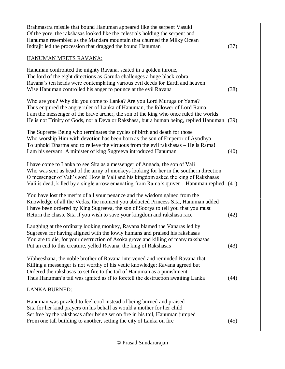| (37)<br>The lord of the eight directions as Garuda challenges a huge black cobra<br>Ravana's ten heads were contemplating various evil deeds for Earth and heaven<br>Wise Hanuman controlled his anger to pounce at the evil Ravana<br>(38)<br>Who are you? Why did you come to Lanka? Are you Lord Muruga or Yama?<br>Thus enquired the angry ruler of Lanka of Hanuman, the follower of Lord Rama<br>He is not Trinity of Gods, nor a Deva or Rakshasa, but a human being, replied Hanuman (39)<br>Who worship Him with devotion has been born as the son of Emperor of Ayodhya<br>(40)<br>Who was sent as head of the army of monkeys looking for her in the southern direction<br>Vali is dead, killed by a single arrow emanating from Rama's quiver - Hanuman replied (41)<br>You have lost the merits of all your penance and the wisdom gained from the<br>(42)<br>Sugreeva for having aligned with the lowly humans and praised his rakshasas<br>You are to die, for your destruction of Asoka grove and killing of many rakshasas<br>(43)<br>Vibheeshana, the noble brother of Ravana intervened and reminded Ravana that<br>Killing a messenger is not worthy of his vedic knowledge; Ravana agreed but<br>Ordered the rakshasas to set fire to the tail of Hanuman as a punishment<br>Thus Hanuman's tail was ignited as if to foretell the destruction awaiting Lanka<br>(44)<br>Sita for her kind prayers on his behalf as would a mother for her child<br>Set free by the rakshasas after being set on fire in his tail, Hanuman jumped<br>(45) |                                                                                                                                                                                                                                                                                                 |  |
|----------------------------------------------------------------------------------------------------------------------------------------------------------------------------------------------------------------------------------------------------------------------------------------------------------------------------------------------------------------------------------------------------------------------------------------------------------------------------------------------------------------------------------------------------------------------------------------------------------------------------------------------------------------------------------------------------------------------------------------------------------------------------------------------------------------------------------------------------------------------------------------------------------------------------------------------------------------------------------------------------------------------------------------------------------------------------------------------------------------------------------------------------------------------------------------------------------------------------------------------------------------------------------------------------------------------------------------------------------------------------------------------------------------------------------------------------------------------------------------------------------------------------------------------------------------|-------------------------------------------------------------------------------------------------------------------------------------------------------------------------------------------------------------------------------------------------------------------------------------------------|--|
|                                                                                                                                                                                                                                                                                                                                                                                                                                                                                                                                                                                                                                                                                                                                                                                                                                                                                                                                                                                                                                                                                                                                                                                                                                                                                                                                                                                                                                                                                                                                                                | Brahmastra missile that bound Hanuman appeared like the serpent Vasuki<br>Of the yore, the rakshasas looked like the celestials holding the serpent and<br>Hanuman resembled as the Mandara mountain that churned the Milky Ocean<br>Indrajit led the procession that dragged the bound Hanuman |  |
|                                                                                                                                                                                                                                                                                                                                                                                                                                                                                                                                                                                                                                                                                                                                                                                                                                                                                                                                                                                                                                                                                                                                                                                                                                                                                                                                                                                                                                                                                                                                                                | HANUMAN MEETS RAVANA:                                                                                                                                                                                                                                                                           |  |
|                                                                                                                                                                                                                                                                                                                                                                                                                                                                                                                                                                                                                                                                                                                                                                                                                                                                                                                                                                                                                                                                                                                                                                                                                                                                                                                                                                                                                                                                                                                                                                | Hanuman confronted the mighty Ravana, seated in a golden throne,                                                                                                                                                                                                                                |  |
|                                                                                                                                                                                                                                                                                                                                                                                                                                                                                                                                                                                                                                                                                                                                                                                                                                                                                                                                                                                                                                                                                                                                                                                                                                                                                                                                                                                                                                                                                                                                                                | I am the messenger of the brave archer, the son of the king who once ruled the worlds                                                                                                                                                                                                           |  |
|                                                                                                                                                                                                                                                                                                                                                                                                                                                                                                                                                                                                                                                                                                                                                                                                                                                                                                                                                                                                                                                                                                                                                                                                                                                                                                                                                                                                                                                                                                                                                                | The Supreme Being who terminates the cycles of birth and death for those<br>To uphold Dharma and to relieve the virtuous from the evil rakshasas – He is Rama!<br>I am his servant. A minister of king Sugreeva introduced Hanuman                                                              |  |
|                                                                                                                                                                                                                                                                                                                                                                                                                                                                                                                                                                                                                                                                                                                                                                                                                                                                                                                                                                                                                                                                                                                                                                                                                                                                                                                                                                                                                                                                                                                                                                | I have come to Lanka to see Sita as a messenger of Angada, the son of Vali<br>O messenger of Vali's son! How is Vali and his kingdom asked the king of Rakshasas                                                                                                                                |  |
|                                                                                                                                                                                                                                                                                                                                                                                                                                                                                                                                                                                                                                                                                                                                                                                                                                                                                                                                                                                                                                                                                                                                                                                                                                                                                                                                                                                                                                                                                                                                                                | Knowledge of all the Vedas, the moment you abducted Princess Sita, Hanuman added<br>I have been ordered by King Sugreeva, the son of Soorya to tell you that you must<br>Return the chaste Sita if you wish to save your kingdom and rakshasa race                                              |  |
|                                                                                                                                                                                                                                                                                                                                                                                                                                                                                                                                                                                                                                                                                                                                                                                                                                                                                                                                                                                                                                                                                                                                                                                                                                                                                                                                                                                                                                                                                                                                                                | Laughing at the ordinary looking monkey, Ravana blamed the Vanaras led by<br>Put an end to this creature, yelled Ravana, the king of Rakshasas                                                                                                                                                  |  |
|                                                                                                                                                                                                                                                                                                                                                                                                                                                                                                                                                                                                                                                                                                                                                                                                                                                                                                                                                                                                                                                                                                                                                                                                                                                                                                                                                                                                                                                                                                                                                                |                                                                                                                                                                                                                                                                                                 |  |
|                                                                                                                                                                                                                                                                                                                                                                                                                                                                                                                                                                                                                                                                                                                                                                                                                                                                                                                                                                                                                                                                                                                                                                                                                                                                                                                                                                                                                                                                                                                                                                | <u>LANKA BURNED:</u>                                                                                                                                                                                                                                                                            |  |
|                                                                                                                                                                                                                                                                                                                                                                                                                                                                                                                                                                                                                                                                                                                                                                                                                                                                                                                                                                                                                                                                                                                                                                                                                                                                                                                                                                                                                                                                                                                                                                | Hanuman was puzzled to feel cool instead of being burned and praised<br>From one tall building to another, setting the city of Lanka on fire                                                                                                                                                    |  |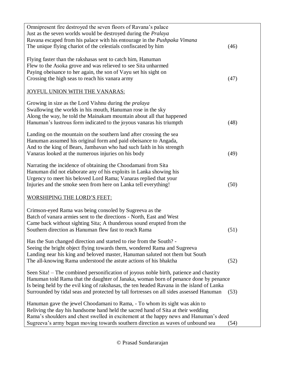| Omnipresent fire destroyed the seven floors of Ravana's palace                            |      |
|-------------------------------------------------------------------------------------------|------|
| Just as the seven worlds would be destroyed during the <i>Pralaya</i>                     |      |
| Ravana escaped from his palace with his entourage in the Pushpaka Vimana                  |      |
| The unique flying chariot of the celestials confiscated by him                            | (46) |
|                                                                                           |      |
| Flying faster than the rakshasas sent to catch him, Hanuman                               |      |
| Flew to the Asoka grove and was relieved to see Sita unharmed                             |      |
| Paying obeisance to her again, the son of Vayu set his sight on                           |      |
| Crossing the high seas to reach his vanara army                                           | (47) |
| JOYFUL UNION WITH THE VANARAS:                                                            |      |
|                                                                                           |      |
| Growing in size as the Lord Vishnu during the <i>pralaya</i>                              |      |
| Swallowing the worlds in his mouth, Hanuman rose in the sky                               |      |
| Along the way, he told the Mainakam mountain about all that happened                      |      |
| Hanuman's lustrous form indicated to the joyous vanaras his triumpth                      | (48) |
| Landing on the mountain on the southern land after crossing the sea                       |      |
| Hanuman assumed his original form and paid obeisance to Angada,                           |      |
| And to the king of Bears, Jambavan who had such faith in his strength                     |      |
| Vanaras looked at the numerous injuries on his body                                       | (49) |
|                                                                                           |      |
| Narrating the incidence of obtaining the Choodamani from Sita                             |      |
| Hanuman did not elaborate any of his exploits in Lanka showing his                        |      |
| Urgency to meet his beloved Lord Rama; Vanaras replied that your                          |      |
| Injuries and the smoke seen from here on Lanka tell everything!                           | (50) |
|                                                                                           |      |
| <b>WORSHIPING THE LORD'S FEET:</b>                                                        |      |
|                                                                                           |      |
| Crimson-eyed Rama was being consoled by Sugreeva as the                                   |      |
| Batch of vanara armies sent to the directions - North, East and West                      |      |
| Came back without sighting Sita; A thunderous sound erupted from the                      |      |
| Southern direction as Hanuman flew fast to reach Rama                                     | (51) |
|                                                                                           |      |
| Has the Sun changed direction and started to rise from the South? -                       |      |
| Seeing the bright object flying towards them, wondered Rama and Sugreeva                  |      |
| Landing near his king and beloved master, Hanuman saluted not them but South              |      |
| The all-knowing Rama understood the astute actions of his bhaktha                         | (52) |
|                                                                                           |      |
| Seen Sita! – The combined personification of joyous noble birth, patience and chastity    |      |
| Hanuman told Rama that the daughter of Janaka, woman born of penance done by penance      |      |
| Is being held by the evil king of rakshasas, the ten headed Ravana in the island of Lanka |      |
| Surrounded by tidal seas and protected by tall fortresses on all sides assessed Hanuman   | (53) |
| Hanuman gave the jewel Choodamani to Rama, - To whom its sight was akin to                |      |
| Reliving the day his handsome hand held the sacred hand of Sita at their wedding          |      |
| Rama's shoulders and chest swelled in excitement at the happy news and Hanuman's deed     |      |
| Sugreeva's army began moving towards southern direction as waves of unbound sea           | (54) |
|                                                                                           |      |